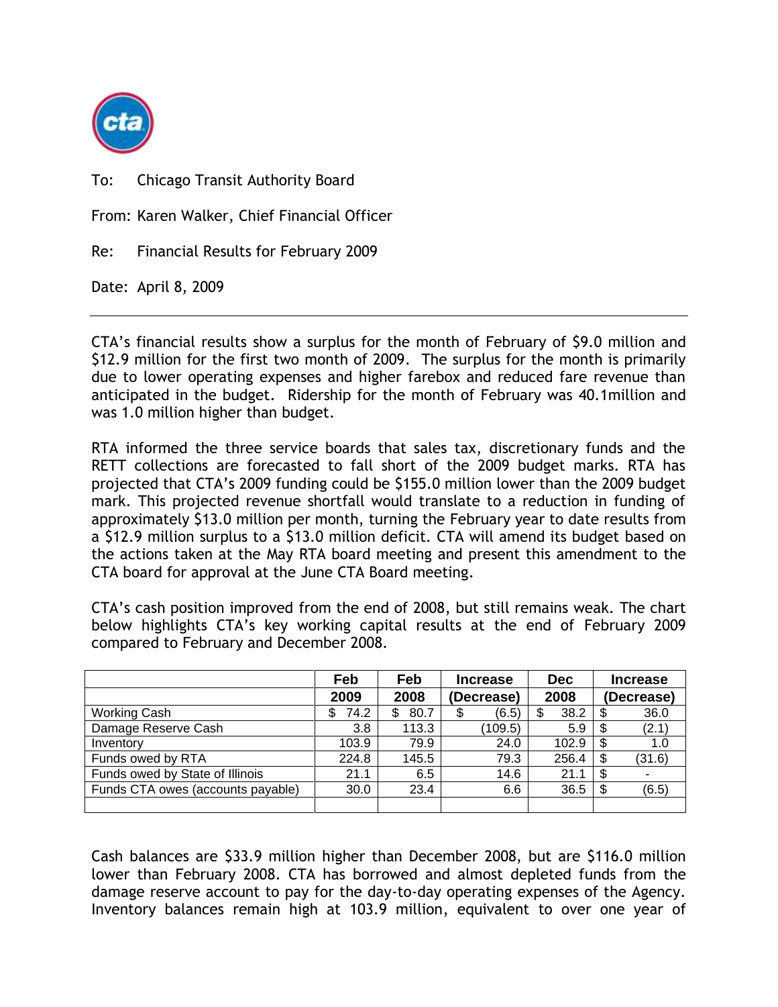

To: Chicago Transit Authority Board

From: Karen Walker, Chief Financial Officer

Re: Financial Results for February 2009

Date: April 8, 2009

CTA's financial results show a surplus for the month of February of \$9.0 million and \$12.9 million for the first two month of 2009. The surplus for the month is primarily due to lower operating expenses and higher farebox and reduced fare revenue than anticipated in the budget. Ridership for the month of February was 40.1million and was 1.0 million higher than budget.

RTA informed the three service boards that sales tax, discretionary funds and the RETT collections are forecasted to fall short of the 2009 budget marks. RTA has projected that CTA's 2009 funding could be \$155.0 million lower than the 2009 budget mark. This projected revenue shortfall would translate to a reduction in funding of approximately \$13.0 million per month, turning the February year to date results from a \$12.9 million surplus to a \$13.0 million deficit. CTA will amend its budget based on the actions taken at the May RTA board meeting and present this amendment to the CTA board for approval at the June CTA Board meeting.

CTA's cash position improved from the end of 2008, but still remains weak. The chart below highlights CTA's key working capital results at the end of February 2009 compared to February and December 2008.

|                                   | Feb        | Feb        | <b>Increase</b> | <b>Dec</b> | <b>Increase</b> |
|-----------------------------------|------------|------------|-----------------|------------|-----------------|
|                                   | 2009       | 2008       | (Decrease)      | 2008       | (Decrease)      |
| Working Cash                      | 74.2<br>\$ | 80.7<br>\$ | (6.5)<br>\$     | 38.2<br>\$ | 36.0<br>\$      |
| Damage Reserve Cash               | 3.8        | 113.3      | (109.5)         | 5.9        | \$<br>(2.1)     |
| Inventory                         | 103.9      | 79.9       | 24.0            | 102.9      | \$<br>1.0       |
| Funds owed by RTA                 | 224.8      | 145.5      | 79.3            | 256.4      | (31.6)<br>\$    |
| Funds owed by State of Illinois   | 21.1       | 6.5        | 14.6            | 21.1       | \$              |
| Funds CTA owes (accounts payable) | 30.0       | 23.4       | 6.6             | 36.5       | \$<br>(6.5)     |
|                                   |            |            |                 |            |                 |

Cash balances are \$33.9 million higher than December 2008, but are \$116.0 million lower than February 2008. CTA has borrowed and almost depleted funds from the damage reserve account to pay for the day-to-day operating expenses of the Agency. Inventory balances remain high at 103.9 million, equivalent to over one year of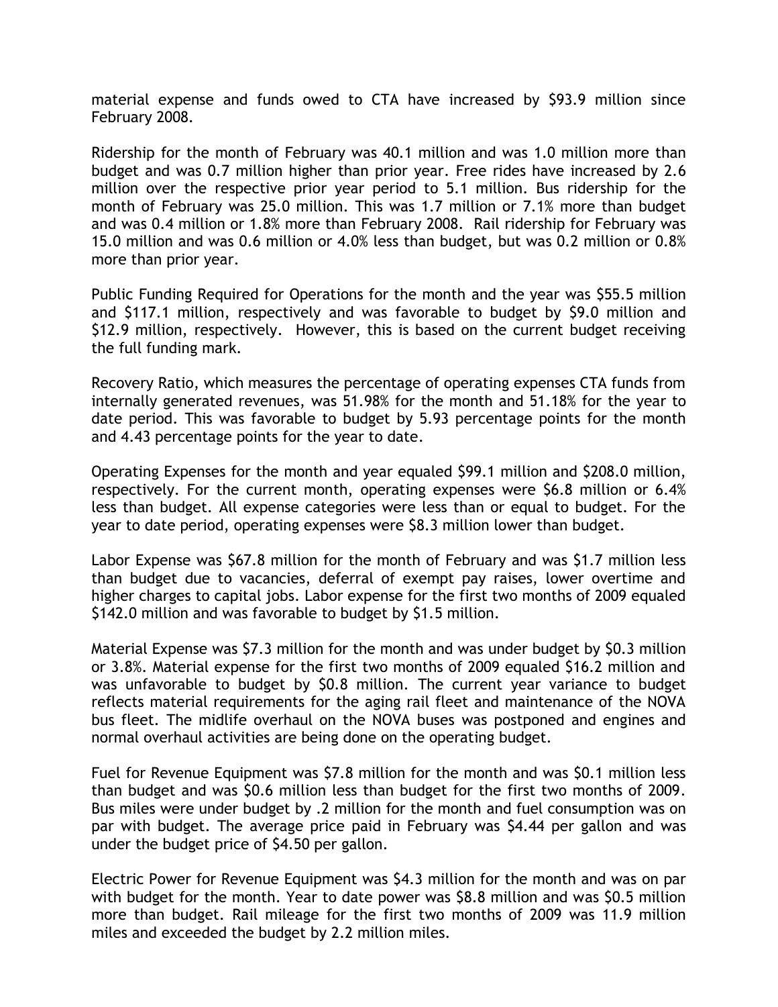material expense and funds owed to CTA have increased by \$93.9 million since February 2008.

Ridership for the month of February was 40.1 million and was 1.0 million more than budget and was 0.7 million higher than prior year. Free rides have increased by 2.6 million over the respective prior year period to 5.1 million. Bus ridership for the month of February was 25.0 million. This was 1.7 million or 7.1% more than budget and was 0.4 million or 1.8% more than February 2008. Rail ridership for February was 15.0 million and was 0.6 million or 4.0% less than budget, but was 0.2 million or 0.8% more than prior year.

Public Funding Required for Operations for the month and the year was \$55.5 million and \$117.1 million, respectively and was favorable to budget by \$9.0 million and \$12.9 million, respectively. However, this is based on the current budget receiving the full funding mark.

Recovery Ratio, which measures the percentage of operating expenses CTA funds from internally generated revenues, was 51.98% for the month and 51.18% for the year to date period. This was favorable to budget by 5.93 percentage points for the month and 4.43 percentage points for the year to date.

Operating Expenses for the month and year equaled \$99.1 million and \$208.0 million, respectively. For the current month, operating expenses were \$6.8 million or 6.4% less than budget. All expense categories were less than or equal to budget. For the year to date period, operating expenses were \$8.3 million lower than budget.

Labor Expense was \$67.8 million for the month of February and was \$1.7 million less than budget due to vacancies, deferral of exempt pay raises, lower overtime and higher charges to capital jobs. Labor expense for the first two months of 2009 equaled \$142.0 million and was favorable to budget by \$1.5 million.

Material Expense was \$7.3 million for the month and was under budget by \$0.3 million or 3.8%. Material expense for the first two months of 2009 equaled \$16.2 million and was unfavorable to budget by \$0.8 million. The current year variance to budget reflects material requirements for the aging rail fleet and maintenance of the NOVA bus fleet. The midlife overhaul on the NOVA buses was postponed and engines and normal overhaul activities are being done on the operating budget.

Fuel for Revenue Equipment was \$7.8 million for the month and was \$0.1 million less than budget and was \$0.6 million less than budget for the first two months of 2009. Bus miles were under budget by .2 million for the month and fuel consumption was on par with budget. The average price paid in February was \$4.44 per gallon and was under the budget price of \$4.50 per gallon.

Electric Power for Revenue Equipment was \$4.3 million for the month and was on par with budget for the month. Year to date power was \$8.8 million and was \$0.5 million more than budget. Rail mileage for the first two months of 2009 was 11.9 million miles and exceeded the budget by 2.2 million miles.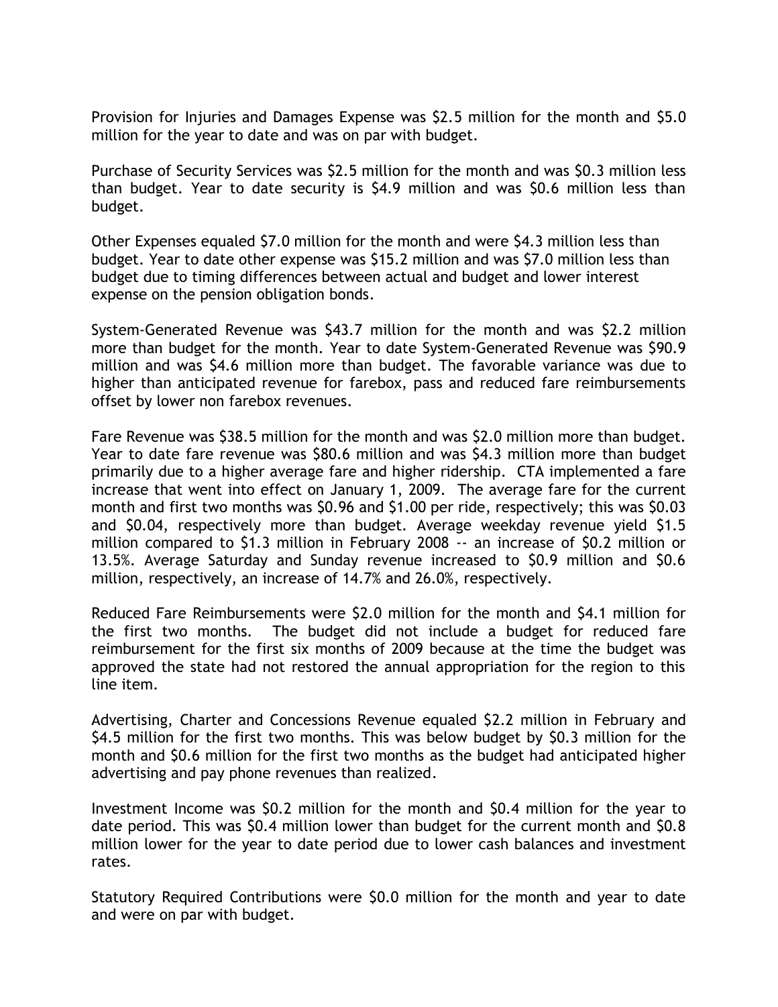Provision for Injuries and Damages Expense was \$2.5 million for the month and \$5.0 million for the year to date and was on par with budget.

Purchase of Security Services was \$2.5 million for the month and was \$0.3 million less than budget. Year to date security is \$4.9 million and was \$0.6 million less than budget.

Other Expenses equaled \$7.0 million for the month and were \$4.3 million less than budget. Year to date other expense was \$15.2 million and was \$7.0 million less than budget due to timing differences between actual and budget and lower interest expense on the pension obligation bonds.

System-Generated Revenue was \$43.7 million for the month and was \$2.2 million more than budget for the month. Year to date System-Generated Revenue was \$90.9 million and was \$4.6 million more than budget. The favorable variance was due to higher than anticipated revenue for farebox, pass and reduced fare reimbursements offset by lower non farebox revenues.

Fare Revenue was \$38.5 million for the month and was \$2.0 million more than budget. Year to date fare revenue was \$80.6 million and was \$4.3 million more than budget primarily due to a higher average fare and higher ridership. CTA implemented a fare increase that went into effect on January 1, 2009. The average fare for the current month and first two months was \$0.96 and \$1.00 per ride, respectively; this was \$0.03 and \$0.04, respectively more than budget. Average weekday revenue yield \$1.5 million compared to \$1.3 million in February 2008 -- an increase of \$0.2 million or 13.5%. Average Saturday and Sunday revenue increased to \$0.9 million and \$0.6 million, respectively, an increase of 14.7% and 26.0%, respectively.

Reduced Fare Reimbursements were \$2.0 million for the month and \$4.1 million for the first two months. The budget did not include a budget for reduced fare reimbursement for the first six months of 2009 because at the time the budget was approved the state had not restored the annual appropriation for the region to this line item.

Advertising, Charter and Concessions Revenue equaled \$2.2 million in February and \$4.5 million for the first two months. This was below budget by \$0.3 million for the month and \$0.6 million for the first two months as the budget had anticipated higher advertising and pay phone revenues than realized.

Investment Income was \$0.2 million for the month and \$0.4 million for the year to date period. This was \$0.4 million lower than budget for the current month and \$0.8 million lower for the year to date period due to lower cash balances and investment rates.

Statutory Required Contributions were \$0.0 million for the month and year to date and were on par with budget.